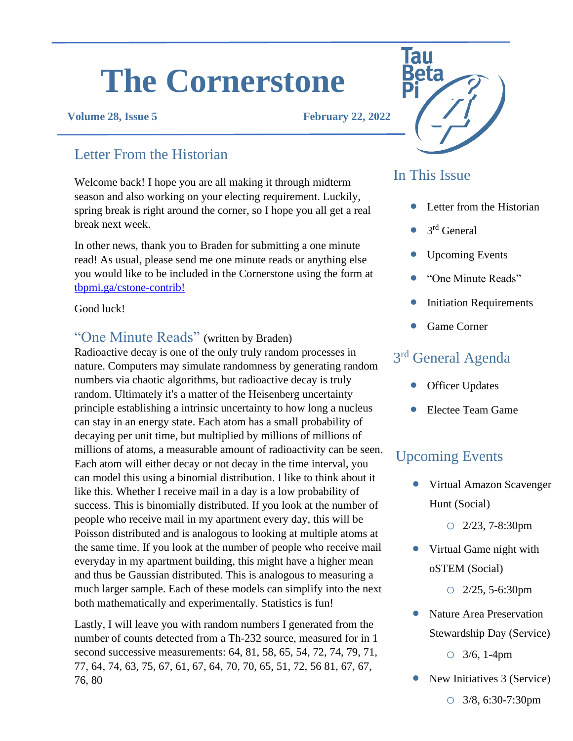# **The Cornerstone**

#### **Volume 28, Issue 5 February 22, 2022**

### Letter From the Historian

Welcome back! I hope you are all making it through midterm season and also working on your electing requirement. Luckily, spring break is right around the corner, so I hope you all get a real break next week.

In other news, thank you to Braden for submitting a one minute read! As usual, please send me one minute reads or anything else you would like to be included in the Cornerstone using the form at [tbpmi.ga/cstone-contrib!](https://tbpmi.ga/cstone-contrib)

Good luck!

# "One Minute Reads" (written by Braden)

Radioactive decay is one of the only truly random processes in nature. Computers may simulate randomness by generating random numbers via chaotic algorithms, but radioactive decay is truly random. Ultimately it's a matter of the Heisenberg uncertainty principle establishing a intrinsic uncertainty to how long a nucleus can stay in an energy state. Each atom has a small probability of decaying per unit time, but multiplied by millions of millions of millions of atoms, a measurable amount of radioactivity can be seen. Each atom will either decay or not decay in the time interval, you can model this using a binomial distribution. I like to think about it like this. Whether I receive mail in a day is a low probability of success. This is binomially distributed. If you look at the number of people who receive mail in my apartment every day, this will be Poisson distributed and is analogous to looking at multiple atoms at the same time. If you look at the number of people who receive mail everyday in my apartment building, this might have a higher mean and thus be Gaussian distributed. This is analogous to measuring a much larger sample. Each of these models can simplify into the next both mathematically and experimentally. Statistics is fun!

Lastly, I will leave you with random numbers I generated from the number of counts detected from a Th-232 source, measured for in 1 second successive measurements: 64, 81, 58, 65, 54, 72, 74, 79, 71, 77, 64, 74, 63, 75, 67, 61, 67, 64, 70, 70, 65, 51, 72, 56 81, 67, 67, 76, 80



#### In This Issue

- Letter from the Historian
- $\bullet$  3<sup>rd</sup> General
- Upcoming Events
- "One Minute Reads"
- **Initiation Requirements**
- Game Corner

## 3<sup>rd</sup> General Agenda

- **Officer Updates**
- Electee Team Game

#### Upcoming Events

- Virtual Amazon Scavenger Hunt (Social)
	- $O$  2/23, 7-8:30pm
- Virtual Game night with oSTEM (Social)
	- $O$  2/25, 5-6:30pm
- Nature Area Preservation Stewardship Day (Service)

o 3/6, 1-4pm

• New Initiatives 3 (Service)

o 3/8, 6:30-7:30pm